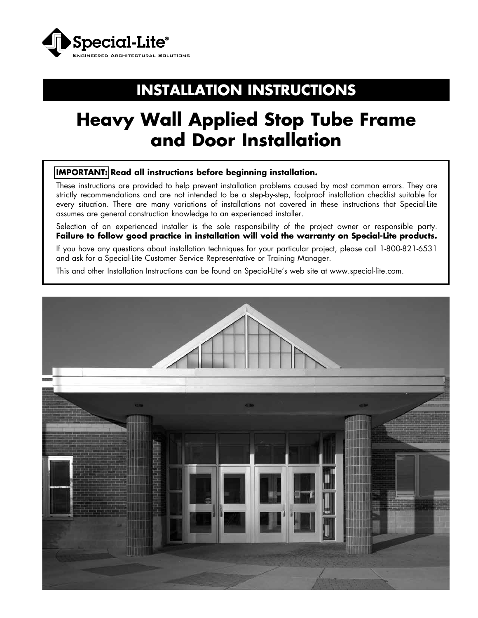

# **INSTALLATION INSTRUCTIONS**

# **Heavy Wall Applied Stop Tube Frame and Door Installation**

#### **IMPORTANT: Read all instructions before beginning installation.**

These instructions are provided to help prevent installation problems caused by most common errors. They are strictly recommendations and are not intended to be a step-by-step, foolproof installation checklist suitable for every situation. There are many variations of installations not covered in these instructions that Special-Lite assumes are general construction knowledge to an experienced installer.

Selection of an experienced installer is the sole responsibility of the project owner or responsible party. **Failure to follow good practice in installation will void the warranty on Special-Lite products.**

If you have any questions about installation techniques for your particular project, please call 1-800-821-6531 and ask for a Special-Lite Customer Service Representative or Training Manager.

This and other Installation Instructions can be found on Special-Lite's web site at www.special-lite.com.

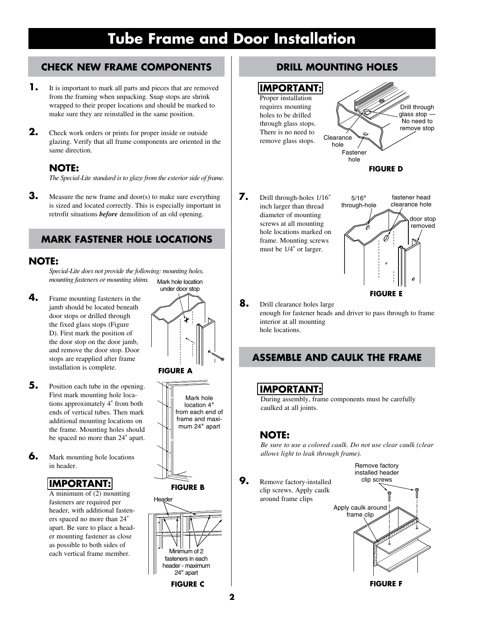### **CHECK NEW FRAME COMPONENTS**

- **1.** It is important to mark all parts and pieces that are removed from the framing when unpacking. Snap stops are shrink wrapped to their proper locations and should be marked to make sure they are reinstalled in the same position.
- **2.** Check work orders or prints for proper inside or outside glazing. Verify that all frame components are oriented in the same direction.

#### **NOTE:**

*The Special-Lite standard is to glaze from the exterior side of frame.*

**3.** Measure the new frame and door(s) to make sure everything is sized and located correctly. This is especially important in retrofit situations *before* demolition of an old opening.

#### **MARK FASTENER HOLE LOCATIONS**

#### **NOTE:**

*Special-Lite does not provide the following: mounting holes, mounting fasteners or mounting shims.* Mark hole location

- **4.** Frame mounting fasteners in the jamb should be located beneath door stops or drilled through the fixed glass stops (Figure D). First mark the position of the door stop on the door jamb, and remove the door stop. Door stops are reapplied after frame installation is complete.
- **5.** Position each tube in the opening. First mark mounting hole locations approximately 4" from both ends of vertical tubes. Then mark additional mounting locations on the frame. Mounting holes should be spaced no more than 24" apart.
- **6.** Mark mounting hole locations in header.

### **IMPORTANT:**

A minimum of (2) mounting fasteners are required per header, with additional fasteners spaced no more than 24" apart. Be sure to place a header mounting fastener as close as possible to both sides of each vertical frame member.





### **DRILL MOUNTING HOLES**

#### **IMPORTANT:**



**7.** Drill through-holes 1/16" inch larger than thread diameter of mounting screws at all mounting hole locations marked on frame. Mounting screws must be 1/4" or larger.



**8.** Drill clearance holes large enough for fastener heads and driver to pass through to frame interior at all mounting hole locations.

## **ASSEMBLE AND CAULK THE FRAME**

### **IMPORTANT:**

During assembly, frame components must be carefully caulked at all joints.

### **NOTE:**

*Be sure to use a colored caulk. Do not use clear caulk (clear allows light to leak through frame).*

**9.** Remove factory-installed clip screws. Apply caulk around frame clips



**FIGURE F**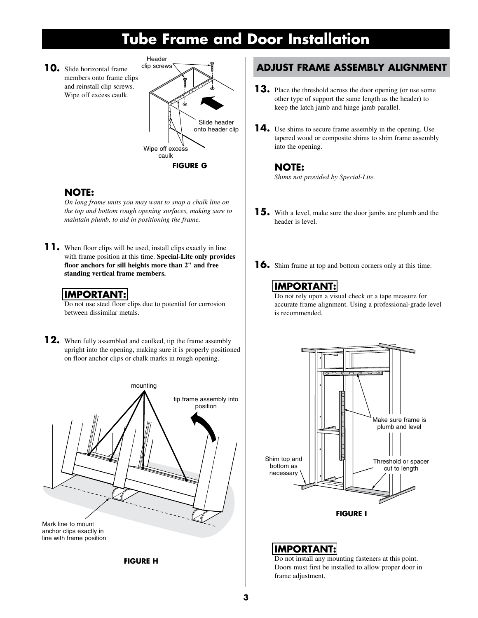**10.** Slide horizontal frame members onto frame clips and reinstall clip screws. Wipe off excess caulk.



#### **NOTE:**

*On long frame units you may want to snap a chalk line on the top and bottom rough opening surfaces, making sure to maintain plumb, to aid in positioning the frame.*

**11.** When floor clips will be used, install clips exactly in line with frame position at this time. **Special-Lite only provides floor anchors for sill heights more than 2" and free standing vertical frame members.**

#### **IMPORTANT:**

Do not use steel floor clips due to potential for corrosion between dissimilar metals.

**12.** When fully assembled and caulked, tip the frame assembly upright into the opening, making sure it is properly positioned on floor anchor clips or chalk marks in rough opening.



**FIGURE H**

### **ADJUST FRAME ASSEMBLY ALIGNMENT**

- **13.** Place the threshold across the door opening (or use some other type of support the same length as the header) to keep the latch jamb and hinge jamb parallel.
- **14.** Use shims to secure frame assembly in the opening. Use tapered wood or composite shims to shim frame assembly into the opening.

#### **NOTE:**

*Shims not provided by Special-Lite.*

- **15.** With a level, make sure the door jambs are plumb and the header is level.
- **16.** Shim frame at top and bottom corners only at this time.

## **IMPORTANT:**

Do not rely upon a visual check or a tape measure for accurate frame alignment. Using a professional-grade level is recommended.



#### **IMPORTANT:**

Do not install any mounting fasteners at this point. Doors must first be installed to allow proper door in frame adjustment.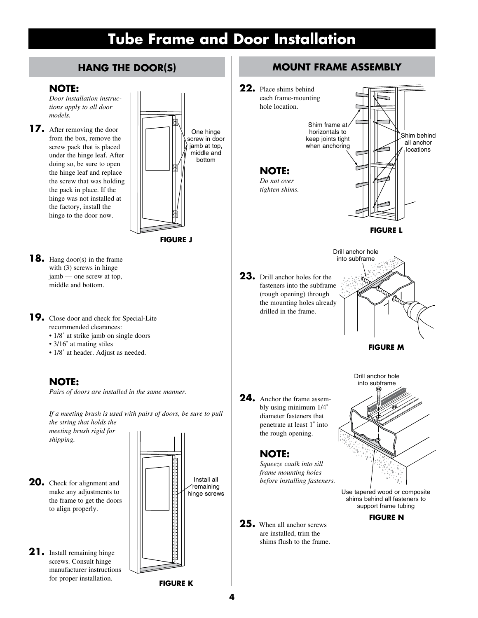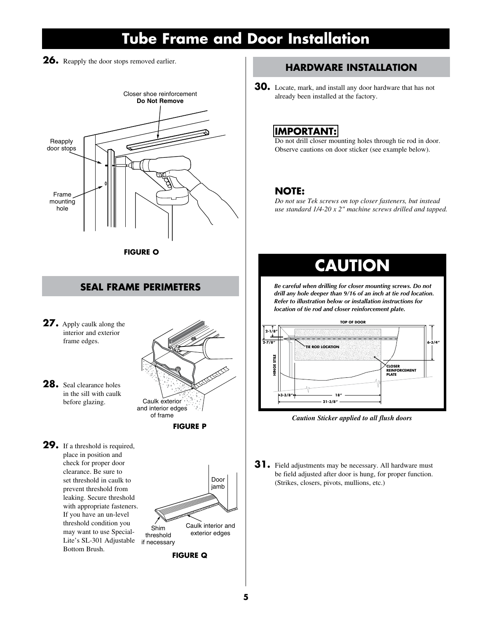**26.** Reapply the door stops removed earlier.



**SEAL FRAME PERIMETERS**

**27.** Apply caulk along the interior and exterior frame edges.



**28.** Seal clearance holes in the sill with caulk before glazing.

**29.** If a threshold is required, place in position and check for proper door clearance. Be sure to set threshold in caulk to prevent threshold from leaking. Secure threshold with appropriate fasteners. If you have an un-level threshold condition you may want to use Special-Lite's SL-301 Adjustable Bottom Brush.



### **HARDWARE INSTALLATION**

- 
- **30.** Locate, mark, and install any door hardware that has not already been installed at the factory.

#### **IMPORTANT:**

Do not drill closer mounting holes through tie rod in door. Observe cautions on door sticker (see example below).

#### **NOTE:**

*Do not use Tek screws on top closer fasteners, but instead use standard 1/4-20 x 2" machine screws drilled and tapped.*

## **CAUTION**

*Be careful when drilling for closer mounting screws. Do not drill any hole deeper than 9/16 of an inch at tie rod location. Refer to illustration below or installation instructions for location of tie rod and closer reinforcement plate.*



*Caution Sticker applied to all flush doors*

**31.** Field adjustments may be necessary. All hardware must be field adjusted after door is hung, for proper function. (Strikes, closers, pivots, mullions, etc.)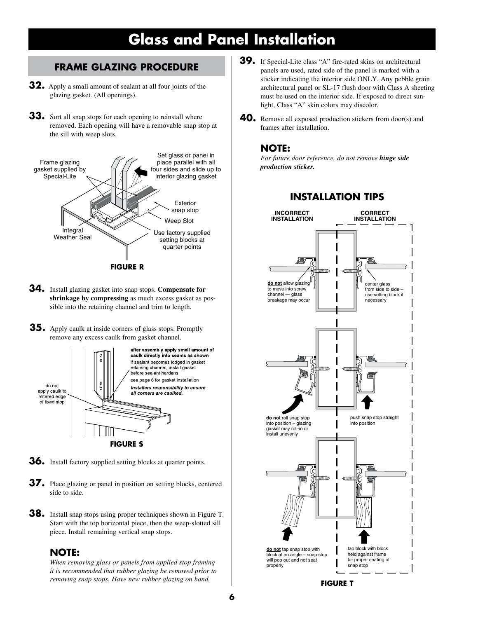# **Glass and Panel Installation**

#### **FRAME GLAZING PROCEDURE**

- **32.** Apply a small amount of sealant at all four joints of the glazing gasket. (All openings).
- **33.** Sort all snap stops for each opening to reinstall where removed. Each opening will have a removable snap stop at the sill with weep slots.



- **34.** Install glazing gasket into snap stops. **Compensate for shrinkage by compressing** as much excess gasket as possible into the retaining channel and trim to length.
- **35.** Apply caulk at inside corners of glass stops. Promptly remove any excess caulk from gasket channel.



- **36.** Install factory supplied setting blocks at quarter points.
- **37.** Place glazing or panel in position on setting blocks, centered side to side.
- **38.** Install snap stops using proper techniques shown in Figure T. Start with the top horizontal piece, then the weep-slotted sill piece. Install remaining vertical snap stops.

#### **NOTE:**

*When removing glass or panels from applied stop framing it is recommended that rubber glazing be removed prior to removing snap stops. Have new rubber glazing on hand.*

- **39.** If Special-Lite class "A" fire-rated skins on architectural panels are used, rated side of the panel is marked with a sticker indicating the interior side ONLY. Any pebble grain architectural panel or SL-17 flush door with Class A sheeting must be used on the interior side. If exposed to direct sunlight, Class "A" skin colors may discolor.
- **40.** Remove all exposed production stickers from door(s) and frames after installation.

#### **NOTE:**

*For future door reference, do not remove hinge side production sticker.*



#### **INSTALLATION TIPS**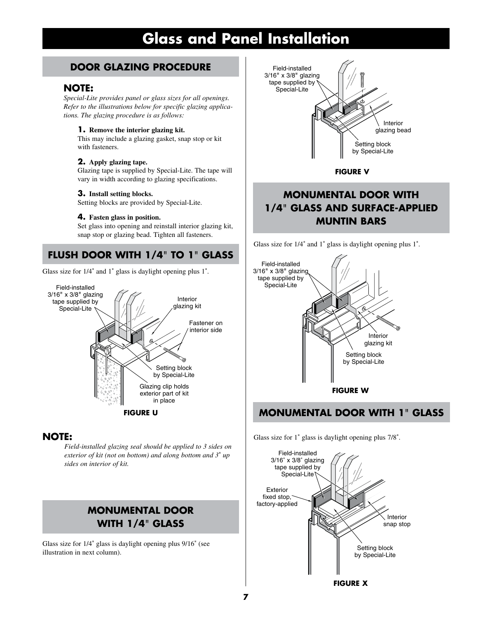## **Glass and Panel Installation**

#### **DOOR GLAZING PROCEDURE**

#### **NOTE:**

*Special-Lite provides panel or glass sizes for all openings. Refer to the illustrations below for specific glazing applications. The glazing procedure is as follows:*

#### **1. Remove the interior glazing kit.**

This may include a glazing gasket, snap stop or kit with fasteners.

#### **2. Apply glazing tape.**

Glazing tape is supplied by Special-Lite. The tape will vary in width according to glazing specifications.

#### **3. Install setting blocks.**

Setting blocks are provided by Special-Lite.

#### **4. Fasten glass in position.**

Set glass into opening and reinstall interior glazing kit, snap stop or glazing bead. Tighten all fasteners.

## **FLUSH DOOR WITH 1/4**" **TO 1**" **GLASS**

Glass size for 1/4" and 1" glass is daylight opening plus 1".



#### **NOTE:**

*Field-installed glazing seal should be applied to 3 sides on exterior of kit (not on bottom) and along bottom and 3*" *up sides on interior of kit.*

### **MONUMENTAL DOOR WITH 1/4**" **GLASS**

Glass size for 1/4" glass is daylight opening plus 9/16" (see illustration in next column).



**FIGURE V**

### **MONUMENTAL DOOR WITH 1/4**" **GLASS AND SURFACE-APPLIED MUNTIN BARS**

Glass size for 1/4" and 1" glass is daylight opening plus 1".



#### **FIGURE U MONUMENTAL DOOR WITH 1**" **GLASS**

Glass size for 1" glass is daylight opening plus 7/8".